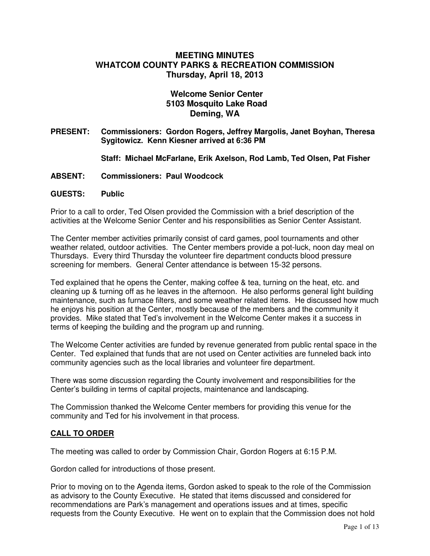# **MEETING MINUTES WHATCOM COUNTY PARKS & RECREATION COMMISSION Thursday, April 18, 2013**

# **Welcome Senior Center 5103 Mosquito Lake Road Deming, WA**

**PRESENT: Commissioners: Gordon Rogers, Jeffrey Margolis, Janet Boyhan, Theresa Sygitowicz. Kenn Kiesner arrived at 6:36 PM** 

**Staff: Michael McFarlane, Erik Axelson, Rod Lamb, Ted Olsen, Pat Fisher** 

- **ABSENT: Commissioners: Paul Woodcock**
- **GUESTS: Public**

Prior to a call to order, Ted Olsen provided the Commission with a brief description of the activities at the Welcome Senior Center and his responsibilities as Senior Center Assistant.

The Center member activities primarily consist of card games, pool tournaments and other weather related, outdoor activities. The Center members provide a pot-luck, noon day meal on Thursdays. Every third Thursday the volunteer fire department conducts blood pressure screening for members. General Center attendance is between 15-32 persons.

Ted explained that he opens the Center, making coffee & tea, turning on the heat, etc. and cleaning up & turning off as he leaves in the afternoon. He also performs general light building maintenance, such as furnace filters, and some weather related items. He discussed how much he enjoys his position at the Center, mostly because of the members and the community it provides. Mike stated that Ted's involvement in the Welcome Center makes it a success in terms of keeping the building and the program up and running.

The Welcome Center activities are funded by revenue generated from public rental space in the Center. Ted explained that funds that are not used on Center activities are funneled back into community agencies such as the local libraries and volunteer fire department.

There was some discussion regarding the County involvement and responsibilities for the Center's building in terms of capital projects, maintenance and landscaping.

The Commission thanked the Welcome Center members for providing this venue for the community and Ted for his involvement in that process.

## **CALL TO ORDER**

The meeting was called to order by Commission Chair, Gordon Rogers at 6:15 P.M.

Gordon called for introductions of those present.

Prior to moving on to the Agenda items, Gordon asked to speak to the role of the Commission as advisory to the County Executive. He stated that items discussed and considered for recommendations are Park's management and operations issues and at times, specific requests from the County Executive. He went on to explain that the Commission does not hold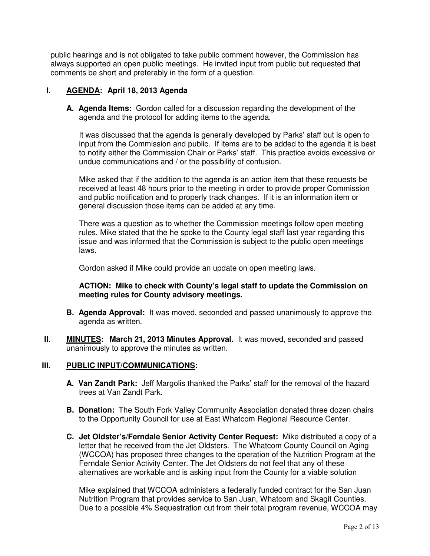public hearings and is not obligated to take public comment however, the Commission has always supported an open public meetings. He invited input from public but requested that comments be short and preferably in the form of a question.

# **I. AGENDA: April 18, 2013 Agenda**

**A. Agenda Items:** Gordon called for a discussion regarding the development of the agenda and the protocol for adding items to the agenda.

It was discussed that the agenda is generally developed by Parks' staff but is open to input from the Commission and public. If items are to be added to the agenda it is best to notify either the Commission Chair or Parks' staff. This practice avoids excessive or undue communications and / or the possibility of confusion.

Mike asked that if the addition to the agenda is an action item that these requests be received at least 48 hours prior to the meeting in order to provide proper Commission and public notification and to properly track changes. If it is an information item or general discussion those items can be added at any time.

There was a question as to whether the Commission meetings follow open meeting rules. Mike stated that the he spoke to the County legal staff last year regarding this issue and was informed that the Commission is subject to the public open meetings laws.

Gordon asked if Mike could provide an update on open meeting laws.

## **ACTION: Mike to check with County's legal staff to update the Commission on meeting rules for County advisory meetings.**

- **B. Agenda Approval:** It was moved, seconded and passed unanimously to approve the agenda as written.
- **II.** MINUTES: March 21, 2013 Minutes Approval. It was moved, seconded and passed unanimously to approve the minutes as written.

#### **III. PUBLIC INPUT/COMMUNICATIONS:**

- **A. Van Zandt Park:** Jeff Margolis thanked the Parks' staff for the removal of the hazard trees at Van Zandt Park.
- **B. Donation:** The South Fork Valley Community Association donated three dozen chairs to the Opportunity Council for use at East Whatcom Regional Resource Center.
- **C. Jet Oldster's/Ferndale Senior Activity Center Request:** Mike distributed a copy of a letter that he received from the Jet Oldsters. The Whatcom County Council on Aging (WCCOA) has proposed three changes to the operation of the Nutrition Program at the Ferndale Senior Activity Center. The Jet Oldsters do not feel that any of these alternatives are workable and is asking input from the County for a viable solution

Mike explained that WCCOA administers a federally funded contract for the San Juan Nutrition Program that provides service to San Juan, Whatcom and Skagit Counties. Due to a possible 4% Sequestration cut from their total program revenue, WCCOA may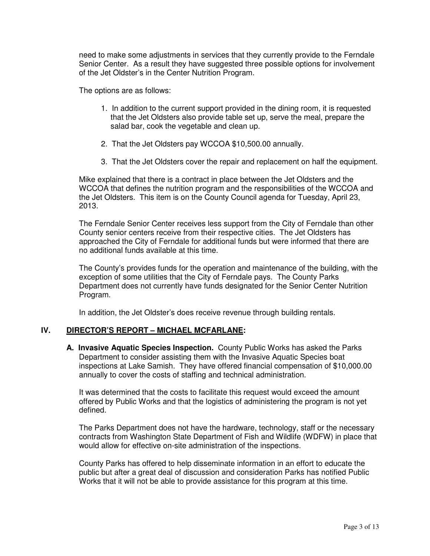need to make some adjustments in services that they currently provide to the Ferndale Senior Center. As a result they have suggested three possible options for involvement of the Jet Oldster's in the Center Nutrition Program.

The options are as follows:

- 1. In addition to the current support provided in the dining room, it is requested that the Jet Oldsters also provide table set up, serve the meal, prepare the salad bar, cook the vegetable and clean up.
- 2. That the Jet Oldsters pay WCCOA \$10,500.00 annually.
- 3. That the Jet Oldsters cover the repair and replacement on half the equipment.

Mike explained that there is a contract in place between the Jet Oldsters and the WCCOA that defines the nutrition program and the responsibilities of the WCCOA and the Jet Oldsters. This item is on the County Council agenda for Tuesday, April 23, 2013.

The Ferndale Senior Center receives less support from the City of Ferndale than other County senior centers receive from their respective cities. The Jet Oldsters has approached the City of Ferndale for additional funds but were informed that there are no additional funds available at this time.

The County's provides funds for the operation and maintenance of the building, with the exception of some utilities that the City of Ferndale pays. The County Parks Department does not currently have funds designated for the Senior Center Nutrition Program.

In addition, the Jet Oldster's does receive revenue through building rentals.

## **IV. DIRECTOR'S REPORT – MICHAEL MCFARLANE:**

**A. Invasive Aquatic Species Inspection.** County Public Works has asked the Parks Department to consider assisting them with the Invasive Aquatic Species boat inspections at Lake Samish. They have offered financial compensation of \$10,000.00 annually to cover the costs of staffing and technical administration.

It was determined that the costs to facilitate this request would exceed the amount offered by Public Works and that the logistics of administering the program is not yet defined.

The Parks Department does not have the hardware, technology, staff or the necessary contracts from Washington State Department of Fish and Wildlife (WDFW) in place that would allow for effective on-site administration of the inspections.

County Parks has offered to help disseminate information in an effort to educate the public but after a great deal of discussion and consideration Parks has notified Public Works that it will not be able to provide assistance for this program at this time.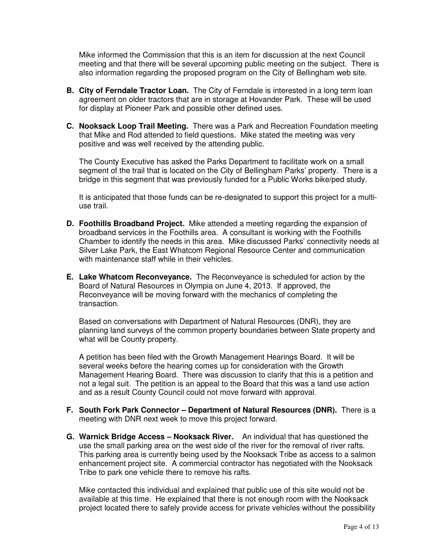Mike informed the Commission that this is an item for discussion at the next Council meeting and that there will be several upcoming public meeting on the subject. There is also information regarding the proposed program on the City of Bellingham web site.

- **B. City of Ferndale Tractor Loan.** The City of Ferndale is interested in a long term loan agreement on older tractors that are in storage at Hovander Park. These will be used for display at Pioneer Park and possible other defined uses.
- **C. Nooksack Loop Trail Meeting.** There was a Park and Recreation Foundation meeting that Mike and Rod attended to field questions. Mike stated the meeting was very positive and was well received by the attending public.

The County Executive has asked the Parks Department to facilitate work on a small segment of the trail that is located on the City of Bellingham Parks' property. There is a bridge in this segment that was previously funded for a Public Works bike/ped study.

It is anticipated that those funds can be re-designated to support this project for a multiuse trail.

- **D. Foothills Broadband Project.** Mike attended a meeting regarding the expansion of broadband services in the Foothills area. A consultant is working with the Foothills Chamber to identify the needs in this area. Mike discussed Parks' connectivity needs at Silver Lake Park, the East Whatcom Regional Resource Center and communication with maintenance staff while in their vehicles.
- **E. Lake Whatcom Reconveyance.** The Reconveyance is scheduled for action by the Board of Natural Resources in Olympia on June 4, 2013. If approved, the Reconveyance will be moving forward with the mechanics of completing the transaction.

Based on conversations with Department of Natural Resources (DNR), they are planning land surveys of the common property boundaries between State property and what will be County property.

A petition has been filed with the Growth Management Hearings Board. It will be several weeks before the hearing comes up for consideration with the Growth Management Hearing Board. There was discussion to clarify that this is a petition and not a legal suit. The petition is an appeal to the Board that this was a land use action and as a result County Council could not move forward with approval.

- **F. South Fork Park Connector Department of Natural Resources (DNR).** There is a meeting with DNR next week to move this project forward.
- **G. Warnick Bridge Access Nooksack River.** An individual that has questioned the use the small parking area on the west side of the river for the removal of river rafts. This parking area is currently being used by the Nooksack Tribe as access to a salmon enhancement project site. A commercial contractor has negotiated with the Nooksack Tribe to park one vehicle there to remove his rafts.

Mike contacted this individual and explained that public use of this site would not be available at this time. He explained that there is not enough room with the Nooksack project located there to safely provide access for private vehicles without the possibility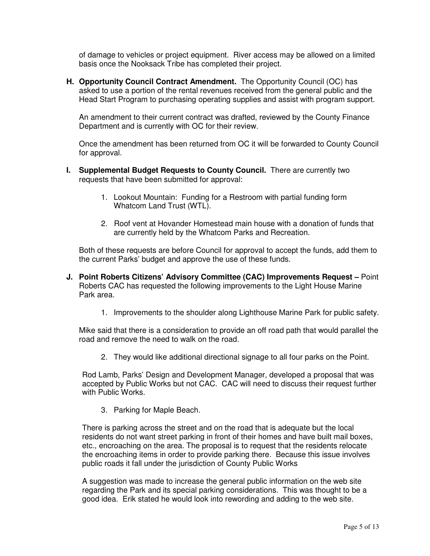of damage to vehicles or project equipment. River access may be allowed on a limited basis once the Nooksack Tribe has completed their project.

**H. Opportunity Council Contract Amendment.** The Opportunity Council (OC) has asked to use a portion of the rental revenues received from the general public and the Head Start Program to purchasing operating supplies and assist with program support.

An amendment to their current contract was drafted, reviewed by the County Finance Department and is currently with OC for their review.

Once the amendment has been returned from OC it will be forwarded to County Council for approval.

- **I. Supplemental Budget Requests to County Council.** There are currently two requests that have been submitted for approval:
	- 1. Lookout Mountain: Funding for a Restroom with partial funding form Whatcom Land Trust (WTL).
	- 2. Roof vent at Hovander Homestead main house with a donation of funds that are currently held by the Whatcom Parks and Recreation.

Both of these requests are before Council for approval to accept the funds, add them to the current Parks' budget and approve the use of these funds.

- **J. Point Roberts Citizens' Advisory Committee (CAC) Improvements Request** Point Roberts CAC has requested the following improvements to the Light House Marine Park area.
	- 1. Improvements to the shoulder along Lighthouse Marine Park for public safety.

Mike said that there is a consideration to provide an off road path that would parallel the road and remove the need to walk on the road.

2. They would like additional directional signage to all four parks on the Point.

Rod Lamb, Parks' Design and Development Manager, developed a proposal that was accepted by Public Works but not CAC. CAC will need to discuss their request further with Public Works.

3. Parking for Maple Beach.

There is parking across the street and on the road that is adequate but the local residents do not want street parking in front of their homes and have built mail boxes, etc., encroaching on the area. The proposal is to request that the residents relocate the encroaching items in order to provide parking there. Because this issue involves public roads it fall under the jurisdiction of County Public Works

A suggestion was made to increase the general public information on the web site regarding the Park and its special parking considerations. This was thought to be a good idea. Erik stated he would look into rewording and adding to the web site.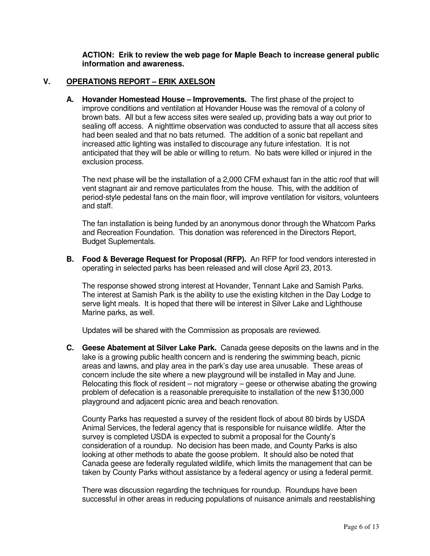**ACTION: Erik to review the web page for Maple Beach to increase general public information and awareness.** 

### **V. OPERATIONS REPORT – ERIK AXELSON**

**A. Hovander Homestead House – Improvements.** The first phase of the project to improve conditions and ventilation at Hovander House was the removal of a colony of brown bats. All but a few access sites were sealed up, providing bats a way out prior to sealing off access. A nighttime observation was conducted to assure that all access sites had been sealed and that no bats returned. The addition of a sonic bat repellant and increased attic lighting was installed to discourage any future infestation. It is not anticipated that they will be able or willing to return. No bats were killed or injured in the exclusion process.

The next phase will be the installation of a 2,000 CFM exhaust fan in the attic roof that will vent stagnant air and remove particulates from the house. This, with the addition of period-style pedestal fans on the main floor, will improve ventilation for visitors, volunteers and staff.

The fan installation is being funded by an anonymous donor through the Whatcom Parks and Recreation Foundation. This donation was referenced in the Directors Report, Budget Suplementals.

**B. Food & Beverage Request for Proposal (RFP).** An RFP for food vendors interested in operating in selected parks has been released and will close April 23, 2013.

The response showed strong interest at Hovander, Tennant Lake and Samish Parks. The interest at Samish Park is the ability to use the existing kitchen in the Day Lodge to serve light meals. It is hoped that there will be interest in Silver Lake and Lighthouse Marine parks, as well.

Updates will be shared with the Commission as proposals are reviewed.

**C. Geese Abatement at Silver Lake Park.** Canada geese deposits on the lawns and in the lake is a growing public health concern and is rendering the swimming beach, picnic areas and lawns, and play area in the park's day use area unusable. These areas of concern include the site where a new playground will be installed in May and June. Relocating this flock of resident – not migratory – geese or otherwise abating the growing problem of defecation is a reasonable prerequisite to installation of the new \$130,000 playground and adjacent picnic area and beach renovation.

County Parks has requested a survey of the resident flock of about 80 birds by USDA Animal Services, the federal agency that is responsible for nuisance wildlife. After the survey is completed USDA is expected to submit a proposal for the County's consideration of a roundup. No decision has been made, and County Parks is also looking at other methods to abate the goose problem. It should also be noted that Canada geese are federally regulated wildlife, which limits the management that can be taken by County Parks without assistance by a federal agency or using a federal permit.

There was discussion regarding the techniques for roundup. Roundups have been successful in other areas in reducing populations of nuisance animals and reestablishing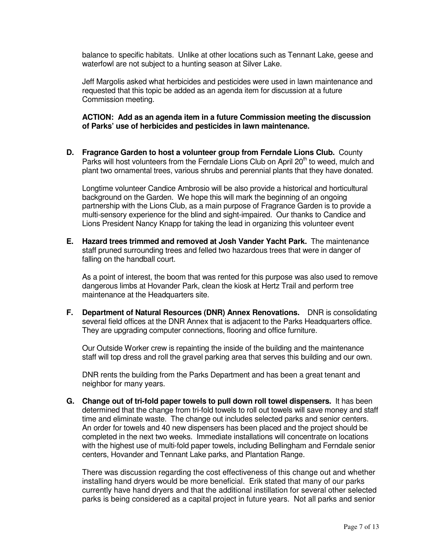balance to specific habitats. Unlike at other locations such as Tennant Lake, geese and waterfowl are not subject to a hunting season at Silver Lake.

Jeff Margolis asked what herbicides and pesticides were used in lawn maintenance and requested that this topic be added as an agenda item for discussion at a future Commission meeting.

#### **ACTION: Add as an agenda item in a future Commission meeting the discussion of Parks' use of herbicides and pesticides in lawn maintenance.**

**D. Fragrance Garden to host a volunteer group from Ferndale Lions Club.** County Parks will host volunteers from the Ferndale Lions Club on April  $20<sup>th</sup>$  to weed, mulch and plant two ornamental trees, various shrubs and perennial plants that they have donated.

Longtime volunteer Candice Ambrosio will be also provide a historical and horticultural background on the Garden. We hope this will mark the beginning of an ongoing partnership with the Lions Club, as a main purpose of Fragrance Garden is to provide a multi-sensory experience for the blind and sight-impaired. Our thanks to Candice and Lions President Nancy Knapp for taking the lead in organizing this volunteer event

**E. Hazard trees trimmed and removed at Josh Vander Yacht Park.** The maintenance staff pruned surrounding trees and felled two hazardous trees that were in danger of falling on the handball court.

As a point of interest, the boom that was rented for this purpose was also used to remove dangerous limbs at Hovander Park, clean the kiosk at Hertz Trail and perform tree maintenance at the Headquarters site.

**F. Department of Natural Resources (DNR) Annex Renovations.** DNR is consolidating several field offices at the DNR Annex that is adjacent to the Parks Headquarters office. They are upgrading computer connections, flooring and office furniture.

Our Outside Worker crew is repainting the inside of the building and the maintenance staff will top dress and roll the gravel parking area that serves this building and our own.

DNR rents the building from the Parks Department and has been a great tenant and neighbor for many years.

**G. Change out of tri-fold paper towels to pull down roll towel dispensers.** It has been determined that the change from tri-fold towels to roll out towels will save money and staff time and eliminate waste. The change out includes selected parks and senior centers. An order for towels and 40 new dispensers has been placed and the project should be completed in the next two weeks. Immediate installations will concentrate on locations with the highest use of multi-fold paper towels, including Bellingham and Ferndale senior centers, Hovander and Tennant Lake parks, and Plantation Range.

There was discussion regarding the cost effectiveness of this change out and whether installing hand dryers would be more beneficial. Erik stated that many of our parks currently have hand dryers and that the additional instillation for several other selected parks is being considered as a capital project in future years. Not all parks and senior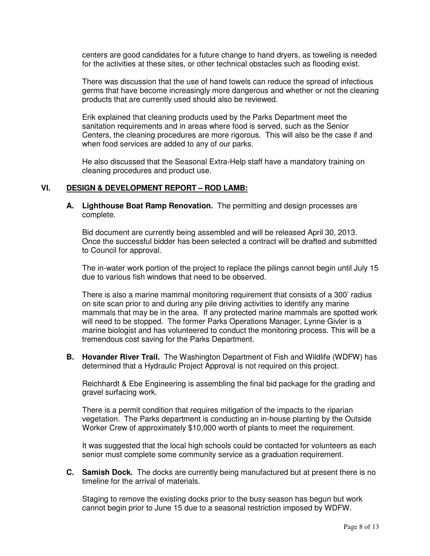centers are good candidates for a future change to hand dryers, as toweling is needed for the activities at these sites, or other technical obstacles such as flooding exist.

There was discussion that the use of hand towels can reduce the spread of infectious germs that have become increasingly more dangerous and whether or not the cleaning products that are currently used should also be reviewed.

Erik explained that cleaning products used by the Parks Department meet the sanitation requirements and in areas where food is served, such as the Senior Centers, the cleaning procedures are more rigorous. This will also be the case if and when food services are added to any of our parks.

He also discussed that the Seasonal Extra-Help staff have a mandatory training on cleaning procedures and product use.

## **VI. DESIGN & DEVELOPMENT REPORT – ROD LAMB:**

**A. Lighthouse Boat Ramp Renovation.** The permitting and design processes are complete.

Bid document are currently being assembled and will be released April 30, 2013. Once the successful bidder has been selected a contract will be drafted and submitted to Council for approval.

The in-water work portion of the project to replace the pilings cannot begin until July 15 due to various fish windows that need to be observed.

There is also a marine mammal monitoring requirement that consists of a 300' radius on site scan prior to and during any pile driving activities to identify any marine mammals that may be in the area. If any protected marine mammals are spotted work will need to be stopped. The former Parks Operations Manager, Lynne Givler is a marine biologist and has volunteered to conduct the monitoring process. This will be a tremendous cost saving for the Parks Department.

**B. Hovander River Trail.** The Washington Department of Fish and Wildlife (WDFW) has determined that a Hydraulic Project Approval is not required on this project.

Reichhardt & Ebe Engineering is assembling the final bid package for the grading and gravel surfacing work.

There is a permit condition that requires mitigation of the impacts to the riparian vegetation. The Parks department is conducting an in-house planting by the Outside Worker Crew of approximately \$10,000 worth of plants to meet the requirement.

It was suggested that the local high schools could be contacted for volunteers as each senior must complete some community service as a graduation requirement.

**C. Samish Dock.** The docks are currently being manufactured but at present there is no timeline for the arrival of materials.

Staging to remove the existing docks prior to the busy season has begun but work cannot begin prior to June 15 due to a seasonal restriction imposed by WDFW.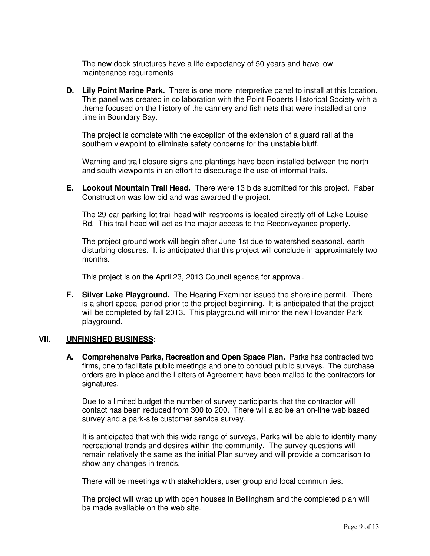The new dock structures have a life expectancy of 50 years and have low maintenance requirements

**D. Lily Point Marine Park.** There is one more interpretive panel to install at this location. This panel was created in collaboration with the Point Roberts Historical Society with a theme focused on the history of the cannery and fish nets that were installed at one time in Boundary Bay.

The project is complete with the exception of the extension of a guard rail at the southern viewpoint to eliminate safety concerns for the unstable bluff.

Warning and trail closure signs and plantings have been installed between the north and south viewpoints in an effort to discourage the use of informal trails.

**E. Lookout Mountain Trail Head.** There were 13 bids submitted for this project. Faber Construction was low bid and was awarded the project.

The 29-car parking lot trail head with restrooms is located directly off of Lake Louise Rd. This trail head will act as the major access to the Reconveyance property.

The project ground work will begin after June 1st due to watershed seasonal, earth disturbing closures. It is anticipated that this project will conclude in approximately two months.

This project is on the April 23, 2013 Council agenda for approval.

**F. Silver Lake Playground.** The Hearing Examiner issued the shoreline permit. There is a short appeal period prior to the project beginning. It is anticipated that the project will be completed by fall 2013. This playground will mirror the new Hovander Park playground.

## **VII. UNFINISHED BUSINESS:**

**A. Comprehensive Parks, Recreation and Open Space Plan.** Parks has contracted two firms, one to facilitate public meetings and one to conduct public surveys. The purchase orders are in place and the Letters of Agreement have been mailed to the contractors for signatures.

Due to a limited budget the number of survey participants that the contractor will contact has been reduced from 300 to 200. There will also be an on-line web based survey and a park-site customer service survey.

It is anticipated that with this wide range of surveys, Parks will be able to identify many recreational trends and desires within the community. The survey questions will remain relatively the same as the initial Plan survey and will provide a comparison to show any changes in trends.

There will be meetings with stakeholders, user group and local communities.

The project will wrap up with open houses in Bellingham and the completed plan will be made available on the web site.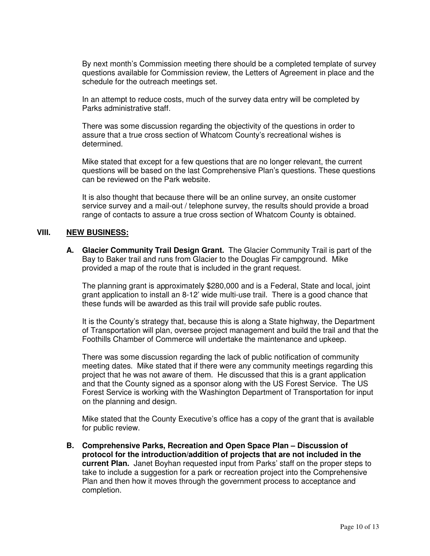By next month's Commission meeting there should be a completed template of survey questions available for Commission review, the Letters of Agreement in place and the schedule for the outreach meetings set.

In an attempt to reduce costs, much of the survey data entry will be completed by Parks administrative staff.

There was some discussion regarding the objectivity of the questions in order to assure that a true cross section of Whatcom County's recreational wishes is determined.

Mike stated that except for a few questions that are no longer relevant, the current questions will be based on the last Comprehensive Plan's questions. These questions can be reviewed on the Park website.

It is also thought that because there will be an online survey, an onsite customer service survey and a mail-out / telephone survey, the results should provide a broad range of contacts to assure a true cross section of Whatcom County is obtained.

#### **VIII. NEW BUSINESS:**

**A. Glacier Community Trail Design Grant.** The Glacier Community Trail is part of the Bay to Baker trail and runs from Glacier to the Douglas Fir campground. Mike provided a map of the route that is included in the grant request.

The planning grant is approximately \$280,000 and is a Federal, State and local, joint grant application to install an 8-12' wide multi-use trail. There is a good chance that these funds will be awarded as this trail will provide safe public routes.

It is the County's strategy that, because this is along a State highway, the Department of Transportation will plan, oversee project management and build the trail and that the Foothills Chamber of Commerce will undertake the maintenance and upkeep.

There was some discussion regarding the lack of public notification of community meeting dates. Mike stated that if there were any community meetings regarding this project that he was not aware of them. He discussed that this is a grant application and that the County signed as a sponsor along with the US Forest Service. The US Forest Service is working with the Washington Department of Transportation for input on the planning and design.

Mike stated that the County Executive's office has a copy of the grant that is available for public review.

**B. Comprehensive Parks, Recreation and Open Space Plan – Discussion of protocol for the introduction/addition of projects that are not included in the current Plan.** Janet Boyhan requested input from Parks' staff on the proper steps to take to include a suggestion for a park or recreation project into the Comprehensive Plan and then how it moves through the government process to acceptance and completion.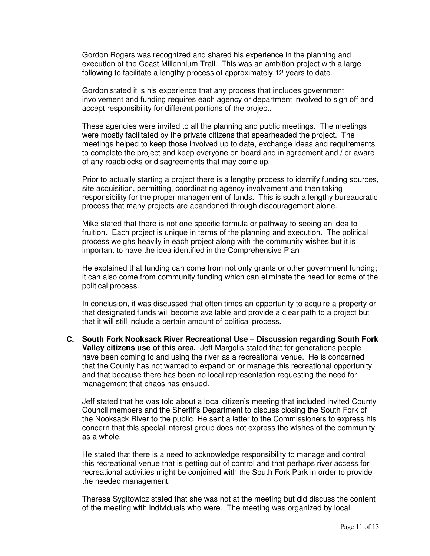Gordon Rogers was recognized and shared his experience in the planning and execution of the Coast Millennium Trail. This was an ambition project with a large following to facilitate a lengthy process of approximately 12 years to date.

Gordon stated it is his experience that any process that includes government involvement and funding requires each agency or department involved to sign off and accept responsibility for different portions of the project.

These agencies were invited to all the planning and public meetings. The meetings were mostly facilitated by the private citizens that spearheaded the project. The meetings helped to keep those involved up to date, exchange ideas and requirements to complete the project and keep everyone on board and in agreement and / or aware of any roadblocks or disagreements that may come up.

Prior to actually starting a project there is a lengthy process to identify funding sources, site acquisition, permitting, coordinating agency involvement and then taking responsibility for the proper management of funds. This is such a lengthy bureaucratic process that many projects are abandoned through discouragement alone.

Mike stated that there is not one specific formula or pathway to seeing an idea to fruition. Each project is unique in terms of the planning and execution. The political process weighs heavily in each project along with the community wishes but it is important to have the idea identified in the Comprehensive Plan

He explained that funding can come from not only grants or other government funding; it can also come from community funding which can eliminate the need for some of the political process.

In conclusion, it was discussed that often times an opportunity to acquire a property or that designated funds will become available and provide a clear path to a project but that it will still include a certain amount of political process.

**C. South Fork Nooksack River Recreational Use – Discussion regarding South Fork Valley citizens use of this area.** Jeff Margolis stated that for generations people have been coming to and using the river as a recreational venue. He is concerned that the County has not wanted to expand on or manage this recreational opportunity and that because there has been no local representation requesting the need for management that chaos has ensued.

Jeff stated that he was told about a local citizen's meeting that included invited County Council members and the Sheriff's Department to discuss closing the South Fork of the Nooksack River to the public. He sent a letter to the Commissioners to express his concern that this special interest group does not express the wishes of the community as a whole.

He stated that there is a need to acknowledge responsibility to manage and control this recreational venue that is getting out of control and that perhaps river access for recreational activities might be conjoined with the South Fork Park in order to provide the needed management.

Theresa Sygitowicz stated that she was not at the meeting but did discuss the content of the meeting with individuals who were. The meeting was organized by local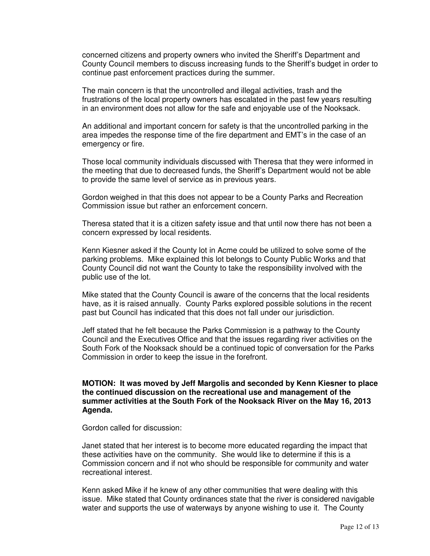concerned citizens and property owners who invited the Sheriff's Department and County Council members to discuss increasing funds to the Sheriff's budget in order to continue past enforcement practices during the summer.

The main concern is that the uncontrolled and illegal activities, trash and the frustrations of the local property owners has escalated in the past few years resulting in an environment does not allow for the safe and enjoyable use of the Nooksack.

An additional and important concern for safety is that the uncontrolled parking in the area impedes the response time of the fire department and EMT's in the case of an emergency or fire.

Those local community individuals discussed with Theresa that they were informed in the meeting that due to decreased funds, the Sheriff's Department would not be able to provide the same level of service as in previous years.

Gordon weighed in that this does not appear to be a County Parks and Recreation Commission issue but rather an enforcement concern.

Theresa stated that it is a citizen safety issue and that until now there has not been a concern expressed by local residents.

Kenn Kiesner asked if the County lot in Acme could be utilized to solve some of the parking problems. Mike explained this lot belongs to County Public Works and that County Council did not want the County to take the responsibility involved with the public use of the lot.

Mike stated that the County Council is aware of the concerns that the local residents have, as it is raised annually. County Parks explored possible solutions in the recent past but Council has indicated that this does not fall under our jurisdiction.

Jeff stated that he felt because the Parks Commission is a pathway to the County Council and the Executives Office and that the issues regarding river activities on the South Fork of the Nooksack should be a continued topic of conversation for the Parks Commission in order to keep the issue in the forefront.

### **MOTION: It was moved by Jeff Margolis and seconded by Kenn Kiesner to place the continued discussion on the recreational use and management of the summer activities at the South Fork of the Nooksack River on the May 16, 2013 Agenda.**

Gordon called for discussion:

Janet stated that her interest is to become more educated regarding the impact that these activities have on the community. She would like to determine if this is a Commission concern and if not who should be responsible for community and water recreational interest.

Kenn asked Mike if he knew of any other communities that were dealing with this issue. Mike stated that County ordinances state that the river is considered navigable water and supports the use of waterways by anyone wishing to use it. The County